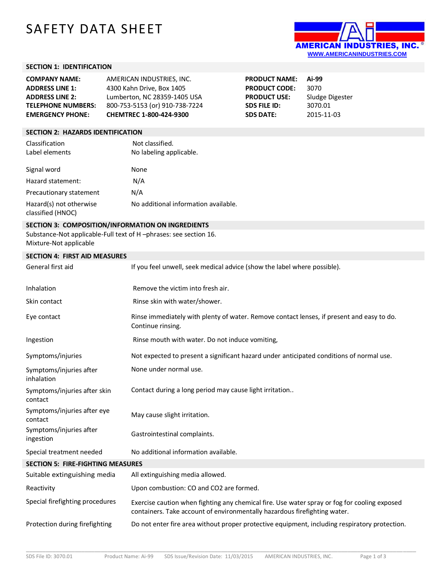# SAFETY DATA SHEET



## **SECTION 1: IDENTIFICATION**

| <b>COMPANY NAME:</b>      | AMERICAN INDUSTRIES. INC.      | <b>PRODUCT NAME:</b> | Ai-99           |
|---------------------------|--------------------------------|----------------------|-----------------|
| <b>ADDRESS LINE 1:</b>    | 4300 Kahn Drive, Box 1405      | <b>PRODUCT CODE:</b> | 3070            |
| <b>ADDRESS LINE 2:</b>    | Lumberton, NC 28359-1405 USA   | <b>PRODUCT USE:</b>  | Sludge Digester |
| <b>TELEPHONE NUMBERS:</b> | 800-753-5153 (or) 910-738-7224 | SDS FILE ID:         | 3070.01         |
| <b>EMERGENCY PHONE:</b>   | CHEMTREC 1-800-424-9300        | <b>SDS DATE:</b>     | 2015-11-03      |

## **SECTION 2: HAZARDS IDENTIFICATION**

| Classification                               | Not classified.                      |
|----------------------------------------------|--------------------------------------|
| Label elements                               | No labeling applicable.              |
| Signal word                                  | None                                 |
| Hazard statement:                            | N/A                                  |
| Precautionary statement                      | N/A                                  |
| Hazard(s) not otherwise<br>classified (HNOC) | No additional information available. |

# **SECTION 3: COMPOSITION/INFORMATION ON INGREDIENTS**

Substance-Not applicable-Full text of H –phrases: see section 16. Mixture-Not applicable

#### **SECTION 4: FIRST AID MEASURES**

| JLCIIVIT. IIIIJI AID MILAJUILJ           |                                                                                                                                                                           |
|------------------------------------------|---------------------------------------------------------------------------------------------------------------------------------------------------------------------------|
| General first aid                        | If you feel unwell, seek medical advice (show the label where possible).                                                                                                  |
| Inhalation                               | Remove the victim into fresh air.                                                                                                                                         |
| Skin contact                             | Rinse skin with water/shower.                                                                                                                                             |
| Eye contact                              | Rinse immediately with plenty of water. Remove contact lenses, if present and easy to do.<br>Continue rinsing.                                                            |
| Ingestion                                | Rinse mouth with water. Do not induce vomiting,                                                                                                                           |
| Symptoms/injuries                        | Not expected to present a significant hazard under anticipated conditions of normal use.                                                                                  |
| Symptoms/injuries after<br>inhalation    | None under normal use.                                                                                                                                                    |
| Symptoms/injuries after skin<br>contact  | Contact during a long period may cause light irritation                                                                                                                   |
| Symptoms/injuries after eye<br>contact   | May cause slight irritation.                                                                                                                                              |
| Symptoms/injuries after<br>ingestion     | Gastrointestinal complaints.                                                                                                                                              |
| Special treatment needed                 | No additional information available.                                                                                                                                      |
| <b>SECTION 5: FIRE-FIGHTING MEASURES</b> |                                                                                                                                                                           |
| Suitable extinguishing media             | All extinguishing media allowed.                                                                                                                                          |
| Reactivity                               | Upon combustion: CO and CO2 are formed.                                                                                                                                   |
| Special firefighting procedures          | Exercise caution when fighting any chemical fire. Use water spray or fog for cooling exposed<br>containers. Take account of environmentally hazardous firefighting water. |
| Protection during firefighting           | Do not enter fire area without proper protective equipment, including respiratory protection.                                                                             |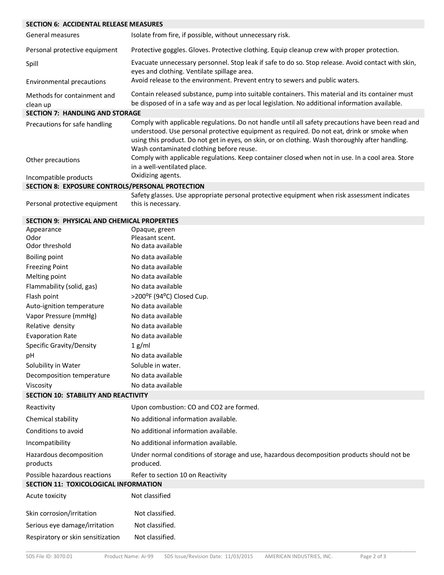# **SECTION 6: ACCIDENTAL RELEASE MEASURES**

| General measures                                 | Isolate from fire, if possible, without unnecessary risk.                                                                                                                                                                                                                                                                                       |
|--------------------------------------------------|-------------------------------------------------------------------------------------------------------------------------------------------------------------------------------------------------------------------------------------------------------------------------------------------------------------------------------------------------|
| Personal protective equipment                    | Protective goggles. Gloves. Protective clothing. Equip cleanup crew with proper protection.                                                                                                                                                                                                                                                     |
| Spill                                            | Evacuate unnecessary personnel. Stop leak if safe to do so. Stop release. Avoid contact with skin,<br>eyes and clothing. Ventilate spillage area.                                                                                                                                                                                               |
| Environmental precautions                        | Avoid release to the environment. Prevent entry to sewers and public waters.                                                                                                                                                                                                                                                                    |
| Methods for containment and<br>clean up          | Contain released substance, pump into suitable containers. This material and its container must<br>be disposed of in a safe way and as per local legislation. No additional information available.                                                                                                                                              |
| <b>SECTION 7: HANDLING AND STORAGE</b>           |                                                                                                                                                                                                                                                                                                                                                 |
| Precautions for safe handling                    | Comply with applicable regulations. Do not handle until all safety precautions have been read and<br>understood. Use personal protective equipment as required. Do not eat, drink or smoke when<br>using this product. Do not get in eyes, on skin, or on clothing. Wash thoroughly after handling.<br>Wash contaminated clothing before reuse. |
| Other precautions                                | Comply with applicable regulations. Keep container closed when not in use. In a cool area. Store<br>in a well-ventilated place.                                                                                                                                                                                                                 |
| Incompatible products                            | Oxidizing agents.                                                                                                                                                                                                                                                                                                                               |
| SECTION 8: EXPOSURE CONTROLS/PERSONAL PROTECTION |                                                                                                                                                                                                                                                                                                                                                 |
|                                                  | Safety glasses. Use appropriate personal protective equipment when risk assessment indicates                                                                                                                                                                                                                                                    |

Personal protective equipment this is necessary.

### **SECTION 9: PHYSICAL AND CHEMICAL PROPERTIES**

| SECTION 3. FIITSICAL AND CITEMICAL FINOFERTIES |                                                                                                         |
|------------------------------------------------|---------------------------------------------------------------------------------------------------------|
| Appearance                                     | Opaque, green                                                                                           |
| Odor                                           | Pleasant scent.                                                                                         |
| Odor threshold                                 | No data available                                                                                       |
| <b>Boiling point</b>                           | No data available                                                                                       |
| <b>Freezing Point</b>                          | No data available                                                                                       |
| Melting point                                  | No data available                                                                                       |
| Flammability (solid, gas)                      | No data available                                                                                       |
| Flash point                                    | >200°F (94°C) Closed Cup.                                                                               |
| Auto-ignition temperature                      | No data available                                                                                       |
| Vapor Pressure (mmHg)                          | No data available                                                                                       |
| Relative density                               | No data available                                                                                       |
| <b>Evaporation Rate</b>                        | No data available                                                                                       |
| Specific Gravity/Density                       | 1 g/ml                                                                                                  |
| pH                                             | No data available                                                                                       |
| Solubility in Water                            | Soluble in water.                                                                                       |
| Decomposition temperature                      | No data available                                                                                       |
| Viscosity                                      | No data available                                                                                       |
| <b>SECTION 10: STABILITY AND REACTIVITY</b>    |                                                                                                         |
| Reactivity                                     | Upon combustion: CO and CO2 are formed.                                                                 |
| Chemical stability                             | No additional information available.                                                                    |
| Conditions to avoid                            | No additional information available.                                                                    |
| Incompatibility                                | No additional information available.                                                                    |
| Hazardous decomposition<br>products            | Under normal conditions of storage and use, hazardous decomposition products should not be<br>produced. |
| Possible hazardous reactions                   | Refer to section 10 on Reactivity                                                                       |
| SECTION 11: TOXICOLOGICAL INFORMATION          |                                                                                                         |
| Acute toxicity                                 | Not classified                                                                                          |
| Skin corrosion/irritation                      | Not classified.                                                                                         |
| Serious eye damage/irritation                  | Not classified.                                                                                         |
| Respiratory or skin sensitization              | Not classified.                                                                                         |